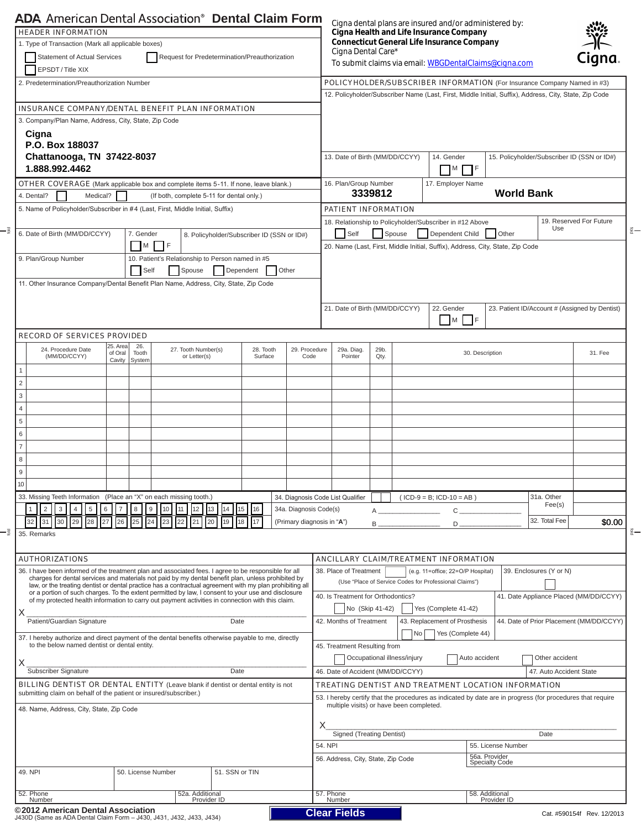| <b>Connecticut General Life Insurance Company</b><br>1. Type of Transaction (Mark all applicable boxes)<br>Cigna Dental Care*<br><b>Statement of Actual Services</b><br>Cigna<br>Request for Predetermination/Preauthorization<br>To submit claims via email: WBGDentalClaims@cigna.com<br>EPSDT / Title XIX<br>POLICYHOLDER/SUBSCRIBER INFORMATION (For Insurance Company Named in #3)<br>12. Policyholder/Subscriber Name (Last, First, Middle Initial, Suffix), Address, City, State, Zip Code<br>3. Company/Plan Name, Address, City, State, Zip Code<br>Cigna<br>P.O. Box 188037<br>Chattanooga, TN 37422-8037<br>13. Date of Birth (MM/DD/CCYY)<br>15. Policyholder/Subscriber ID (SSN or ID#)<br>14. Gender<br>1.888.992.4462<br>M<br>I IF<br>16. Plan/Group Number<br>17. Employer Name<br><b>World Bank</b><br>3339812<br>Medical?<br>(If both, complete 5-11 for dental only.)<br>5. Name of Policyholder/Subscriber in #4 (Last, First, Middle Initial, Suffix)<br><b>PATIENT INFORMATION</b><br>19. Reserved For Future<br>18. Relationship to Policyholder/Subscriber in #12 Above<br>Use<br>Self<br>6. Date of Birth (MM/DD/CCYY)<br>Spouse<br>Dependent Child<br>Other<br>7. Gender<br>8. Policyholder/Subscriber ID (SSN or ID#)<br>I M<br>- IF<br>20. Name (Last, First, Middle Initial, Suffix), Address, City, State, Zip Code<br>10. Patient's Relationship to Person named in #5<br>9. Plan/Group Number<br>Self<br>Spouse<br>Dependent<br>Other<br>11. Other Insurance Company/Dental Benefit Plan Name, Address, City, State, Zip Code<br>21. Date of Birth (MM/DD/CCYY)<br>22. Gender<br>23. Patient ID/Account # (Assigned by Dentist)<br>M F<br><b>RECORD OF SERVICES PROVIDED</b><br>25. Area<br>26.<br>24. Procedure Date<br>27. Tooth Number(s)<br>28. Tooth<br>29. Procedure<br>29b.<br>29a. Diag.<br>of Oral<br>Tooth<br>30. Description<br>31. Fee<br>(MM/DD/CCYY)<br>Surface<br>Pointer<br>or Letter(s)<br>Code<br>Qty.<br>Cavity<br>System<br>$\mathbf{1}$<br>$\overline{c}$<br>3<br>$\overline{4}$<br>$\,$ 5 $\,$<br>31a. Other<br>33. Missing Teeth Information (Place an "X" on each missing tooth.)<br>34. Diagnosis Code List Qualifier<br>$(ICD-9 = B: ICD-10 = AB)$<br>Fee(s)<br>2<br>6<br>8<br>9<br>34a. Diagnosis Code(s)<br>3<br>5<br>10<br>13<br>15<br>16<br>1<br>11<br>12<br>C<br>A<br>32. Total Fee<br>30<br>29<br>28<br>26<br>25<br>24<br>23<br>17<br>32<br>31<br>27<br>22<br>21<br>20<br>18<br>(Primary diagnosis in "A")<br>19<br>$D_{-}$<br>В<br><b>AUTHORIZATIONS</b><br><b>ANCILLARY CLAIM/TREATMENT INFORMATION</b><br>36. I have been informed of the treatment plan and associated fees. I agree to be responsible for all<br>39. Enclosures (Y or N)<br>38. Place of Treatment<br>(e.g. 11=office; 22=O/P Hospital)<br>charges for dental services and materials not paid by my dental benefit plan, unless prohibited by<br>(Use "Place of Service Codes for Professional Claims")<br>law, or the treating dentist or dental practice has a contractual agreement with my plan prohibiting all<br>or a portion of such charges. To the extent permitted by law, I consent to your use and disclosure<br>41. Date Appliance Placed (MM/DD/CCYY)<br>40. Is Treatment for Orthodontics?<br>of my protected health information to carry out payment activities in connection with this claim.<br>No (Skip 41-42)<br>Yes (Complete 41-42)<br>Patient/Guardian Signature<br>44. Date of Prior Placement (MM/DD/CCYY)<br>Date<br>42. Months of Treatment<br>43. Replacement of Prosthesis<br>Yes (Complete 44)<br>No<br>37. I hereby authorize and direct payment of the dental benefits otherwise payable to me, directly<br>to the below named dentist or dental entity.<br>45. Treatment Resulting from<br>Occupational illness/injury<br>Auto accident<br>Other accident<br>Subscriber Signature<br>Date<br>46. Date of Accident (MM/DD/CCYY)<br>47. Auto Accident State<br><b>BILLING DENTIST OR DENTAL ENTITY</b> (Leave blank if dentist or dental entity is not<br>TREATING DENTIST AND TREATMENT LOCATION INFORMATION<br>submitting claim on behalf of the patient or insured/subscriber.)<br>53. I hereby certify that the procedures as indicated by date are in progress (for procedures that require<br>multiple visits) or have been completed.<br>48. Name, Address, City, State, Zip Code<br>Signed (Treating Dentist)<br>Date<br>54. NPI<br>55. License Number<br>56a. Provider<br>Specialty Code<br>56. Address, City, State, Zip Code<br>51. SSN or TIN<br>50. License Number<br>52a. Additional<br>57. Phone<br>58. Additional<br>Number<br>Provider ID<br>Number<br>Provider ID<br>©2012 American Dental Association<br><b>Clear Fields</b><br>Cat. #590154f Rev. 12/2013 | <b>ADA</b> American Dental Association <sup>®</sup> Dental Claim Form                      |  |  |  |  |  |  |                                         | Cigna dental plans are insured and/or administered by: |  |  |  |  |        |  |  |
|---------------------------------------------------------------------------------------------------------------------------------------------------------------------------------------------------------------------------------------------------------------------------------------------------------------------------------------------------------------------------------------------------------------------------------------------------------------------------------------------------------------------------------------------------------------------------------------------------------------------------------------------------------------------------------------------------------------------------------------------------------------------------------------------------------------------------------------------------------------------------------------------------------------------------------------------------------------------------------------------------------------------------------------------------------------------------------------------------------------------------------------------------------------------------------------------------------------------------------------------------------------------------------------------------------------------------------------------------------------------------------------------------------------------------------------------------------------------------------------------------------------------------------------------------------------------------------------------------------------------------------------------------------------------------------------------------------------------------------------------------------------------------------------------------------------------------------------------------------------------------------------------------------------------------------------------------------------------------------------------------------------------------------------------------------------------------------------------------------------------------------------------------------------------------------------------------------------------------------------------------------------------------------------------------------------------------------------------------------------------------------------------------------------------------------------------------------------------------------------------------------------------------------------------------------------------------------------------------------------------------------------------------------------------------------------------------------------------------------------------------------------------------------------------------------------------------------------------------------------------------------------------------------------------------------------------------------------------------------------------------------------------------------------------------------------------------------------------------------------------------------------------------------------------------------------------------------------------------------------------------------------------------------------------------------------------------------------------------------------------------------------------------------------------------------------------------------------------------------------------------------------------------------------------------------------------------------------------------------------------------------------------------------------------------------------------------------------------------------------------------------------------------------------------------------------------------------------------------------------------------------------------------------------------------------------------------------------------------------------------------------------------------------------------------------------------------------------------------------------------------------------------------------------------------------------------------------------------------------------------------------------------------------------------------------------------------------------------------------------------------------------------------------------------------------------------------------------------------------------------------------------------------------------------------------------------------------------------------------------------------------------------------------------------------------------------------------------------------------------------------|--------------------------------------------------------------------------------------------|--|--|--|--|--|--|-----------------------------------------|--------------------------------------------------------|--|--|--|--|--------|--|--|
|                                                                                                                                                                                                                                                                                                                                                                                                                                                                                                                                                                                                                                                                                                                                                                                                                                                                                                                                                                                                                                                                                                                                                                                                                                                                                                                                                                                                                                                                                                                                                                                                                                                                                                                                                                                                                                                                                                                                                                                                                                                                                                                                                                                                                                                                                                                                                                                                                                                                                                                                                                                                                                                                                                                                                                                                                                                                                                                                                                                                                                                                                                                                                                                                                                                                                                                                                                                                                                                                                                                                                                                                                                                                                                                                                                                                                                                                                                                                                                                                                                                                                                                                                                                                                                                                                                                                                                                                                                                                                                                                                                                                                                                                                                                                                   | <b>HEADER INFORMATION</b>                                                                  |  |  |  |  |  |  | Cigna Health and Life Insurance Company |                                                        |  |  |  |  |        |  |  |
|                                                                                                                                                                                                                                                                                                                                                                                                                                                                                                                                                                                                                                                                                                                                                                                                                                                                                                                                                                                                                                                                                                                                                                                                                                                                                                                                                                                                                                                                                                                                                                                                                                                                                                                                                                                                                                                                                                                                                                                                                                                                                                                                                                                                                                                                                                                                                                                                                                                                                                                                                                                                                                                                                                                                                                                                                                                                                                                                                                                                                                                                                                                                                                                                                                                                                                                                                                                                                                                                                                                                                                                                                                                                                                                                                                                                                                                                                                                                                                                                                                                                                                                                                                                                                                                                                                                                                                                                                                                                                                                                                                                                                                                                                                                                                   |                                                                                            |  |  |  |  |  |  |                                         |                                                        |  |  |  |  |        |  |  |
|                                                                                                                                                                                                                                                                                                                                                                                                                                                                                                                                                                                                                                                                                                                                                                                                                                                                                                                                                                                                                                                                                                                                                                                                                                                                                                                                                                                                                                                                                                                                                                                                                                                                                                                                                                                                                                                                                                                                                                                                                                                                                                                                                                                                                                                                                                                                                                                                                                                                                                                                                                                                                                                                                                                                                                                                                                                                                                                                                                                                                                                                                                                                                                                                                                                                                                                                                                                                                                                                                                                                                                                                                                                                                                                                                                                                                                                                                                                                                                                                                                                                                                                                                                                                                                                                                                                                                                                                                                                                                                                                                                                                                                                                                                                                                   |                                                                                            |  |  |  |  |  |  |                                         |                                                        |  |  |  |  |        |  |  |
|                                                                                                                                                                                                                                                                                                                                                                                                                                                                                                                                                                                                                                                                                                                                                                                                                                                                                                                                                                                                                                                                                                                                                                                                                                                                                                                                                                                                                                                                                                                                                                                                                                                                                                                                                                                                                                                                                                                                                                                                                                                                                                                                                                                                                                                                                                                                                                                                                                                                                                                                                                                                                                                                                                                                                                                                                                                                                                                                                                                                                                                                                                                                                                                                                                                                                                                                                                                                                                                                                                                                                                                                                                                                                                                                                                                                                                                                                                                                                                                                                                                                                                                                                                                                                                                                                                                                                                                                                                                                                                                                                                                                                                                                                                                                                   | 2. Predetermination/Preauthorization Number                                                |  |  |  |  |  |  |                                         |                                                        |  |  |  |  |        |  |  |
|                                                                                                                                                                                                                                                                                                                                                                                                                                                                                                                                                                                                                                                                                                                                                                                                                                                                                                                                                                                                                                                                                                                                                                                                                                                                                                                                                                                                                                                                                                                                                                                                                                                                                                                                                                                                                                                                                                                                                                                                                                                                                                                                                                                                                                                                                                                                                                                                                                                                                                                                                                                                                                                                                                                                                                                                                                                                                                                                                                                                                                                                                                                                                                                                                                                                                                                                                                                                                                                                                                                                                                                                                                                                                                                                                                                                                                                                                                                                                                                                                                                                                                                                                                                                                                                                                                                                                                                                                                                                                                                                                                                                                                                                                                                                                   |                                                                                            |  |  |  |  |  |  |                                         |                                                        |  |  |  |  |        |  |  |
|                                                                                                                                                                                                                                                                                                                                                                                                                                                                                                                                                                                                                                                                                                                                                                                                                                                                                                                                                                                                                                                                                                                                                                                                                                                                                                                                                                                                                                                                                                                                                                                                                                                                                                                                                                                                                                                                                                                                                                                                                                                                                                                                                                                                                                                                                                                                                                                                                                                                                                                                                                                                                                                                                                                                                                                                                                                                                                                                                                                                                                                                                                                                                                                                                                                                                                                                                                                                                                                                                                                                                                                                                                                                                                                                                                                                                                                                                                                                                                                                                                                                                                                                                                                                                                                                                                                                                                                                                                                                                                                                                                                                                                                                                                                                                   | <b>INSURANCE COMPANY/DENTAL BENEFIT PLAN INFORMATION</b>                                   |  |  |  |  |  |  |                                         |                                                        |  |  |  |  |        |  |  |
|                                                                                                                                                                                                                                                                                                                                                                                                                                                                                                                                                                                                                                                                                                                                                                                                                                                                                                                                                                                                                                                                                                                                                                                                                                                                                                                                                                                                                                                                                                                                                                                                                                                                                                                                                                                                                                                                                                                                                                                                                                                                                                                                                                                                                                                                                                                                                                                                                                                                                                                                                                                                                                                                                                                                                                                                                                                                                                                                                                                                                                                                                                                                                                                                                                                                                                                                                                                                                                                                                                                                                                                                                                                                                                                                                                                                                                                                                                                                                                                                                                                                                                                                                                                                                                                                                                                                                                                                                                                                                                                                                                                                                                                                                                                                                   |                                                                                            |  |  |  |  |  |  |                                         |                                                        |  |  |  |  |        |  |  |
|                                                                                                                                                                                                                                                                                                                                                                                                                                                                                                                                                                                                                                                                                                                                                                                                                                                                                                                                                                                                                                                                                                                                                                                                                                                                                                                                                                                                                                                                                                                                                                                                                                                                                                                                                                                                                                                                                                                                                                                                                                                                                                                                                                                                                                                                                                                                                                                                                                                                                                                                                                                                                                                                                                                                                                                                                                                                                                                                                                                                                                                                                                                                                                                                                                                                                                                                                                                                                                                                                                                                                                                                                                                                                                                                                                                                                                                                                                                                                                                                                                                                                                                                                                                                                                                                                                                                                                                                                                                                                                                                                                                                                                                                                                                                                   |                                                                                            |  |  |  |  |  |  |                                         |                                                        |  |  |  |  |        |  |  |
|                                                                                                                                                                                                                                                                                                                                                                                                                                                                                                                                                                                                                                                                                                                                                                                                                                                                                                                                                                                                                                                                                                                                                                                                                                                                                                                                                                                                                                                                                                                                                                                                                                                                                                                                                                                                                                                                                                                                                                                                                                                                                                                                                                                                                                                                                                                                                                                                                                                                                                                                                                                                                                                                                                                                                                                                                                                                                                                                                                                                                                                                                                                                                                                                                                                                                                                                                                                                                                                                                                                                                                                                                                                                                                                                                                                                                                                                                                                                                                                                                                                                                                                                                                                                                                                                                                                                                                                                                                                                                                                                                                                                                                                                                                                                                   |                                                                                            |  |  |  |  |  |  |                                         |                                                        |  |  |  |  |        |  |  |
|                                                                                                                                                                                                                                                                                                                                                                                                                                                                                                                                                                                                                                                                                                                                                                                                                                                                                                                                                                                                                                                                                                                                                                                                                                                                                                                                                                                                                                                                                                                                                                                                                                                                                                                                                                                                                                                                                                                                                                                                                                                                                                                                                                                                                                                                                                                                                                                                                                                                                                                                                                                                                                                                                                                                                                                                                                                                                                                                                                                                                                                                                                                                                                                                                                                                                                                                                                                                                                                                                                                                                                                                                                                                                                                                                                                                                                                                                                                                                                                                                                                                                                                                                                                                                                                                                                                                                                                                                                                                                                                                                                                                                                                                                                                                                   |                                                                                            |  |  |  |  |  |  |                                         |                                                        |  |  |  |  |        |  |  |
|                                                                                                                                                                                                                                                                                                                                                                                                                                                                                                                                                                                                                                                                                                                                                                                                                                                                                                                                                                                                                                                                                                                                                                                                                                                                                                                                                                                                                                                                                                                                                                                                                                                                                                                                                                                                                                                                                                                                                                                                                                                                                                                                                                                                                                                                                                                                                                                                                                                                                                                                                                                                                                                                                                                                                                                                                                                                                                                                                                                                                                                                                                                                                                                                                                                                                                                                                                                                                                                                                                                                                                                                                                                                                                                                                                                                                                                                                                                                                                                                                                                                                                                                                                                                                                                                                                                                                                                                                                                                                                                                                                                                                                                                                                                                                   | <b>OTHER COVERAGE</b> (Mark applicable box and complete items 5-11. If none, leave blank.) |  |  |  |  |  |  |                                         |                                                        |  |  |  |  |        |  |  |
|                                                                                                                                                                                                                                                                                                                                                                                                                                                                                                                                                                                                                                                                                                                                                                                                                                                                                                                                                                                                                                                                                                                                                                                                                                                                                                                                                                                                                                                                                                                                                                                                                                                                                                                                                                                                                                                                                                                                                                                                                                                                                                                                                                                                                                                                                                                                                                                                                                                                                                                                                                                                                                                                                                                                                                                                                                                                                                                                                                                                                                                                                                                                                                                                                                                                                                                                                                                                                                                                                                                                                                                                                                                                                                                                                                                                                                                                                                                                                                                                                                                                                                                                                                                                                                                                                                                                                                                                                                                                                                                                                                                                                                                                                                                                                   | 4. Dental?                                                                                 |  |  |  |  |  |  |                                         |                                                        |  |  |  |  |        |  |  |
|                                                                                                                                                                                                                                                                                                                                                                                                                                                                                                                                                                                                                                                                                                                                                                                                                                                                                                                                                                                                                                                                                                                                                                                                                                                                                                                                                                                                                                                                                                                                                                                                                                                                                                                                                                                                                                                                                                                                                                                                                                                                                                                                                                                                                                                                                                                                                                                                                                                                                                                                                                                                                                                                                                                                                                                                                                                                                                                                                                                                                                                                                                                                                                                                                                                                                                                                                                                                                                                                                                                                                                                                                                                                                                                                                                                                                                                                                                                                                                                                                                                                                                                                                                                                                                                                                                                                                                                                                                                                                                                                                                                                                                                                                                                                                   |                                                                                            |  |  |  |  |  |  |                                         |                                                        |  |  |  |  |        |  |  |
|                                                                                                                                                                                                                                                                                                                                                                                                                                                                                                                                                                                                                                                                                                                                                                                                                                                                                                                                                                                                                                                                                                                                                                                                                                                                                                                                                                                                                                                                                                                                                                                                                                                                                                                                                                                                                                                                                                                                                                                                                                                                                                                                                                                                                                                                                                                                                                                                                                                                                                                                                                                                                                                                                                                                                                                                                                                                                                                                                                                                                                                                                                                                                                                                                                                                                                                                                                                                                                                                                                                                                                                                                                                                                                                                                                                                                                                                                                                                                                                                                                                                                                                                                                                                                                                                                                                                                                                                                                                                                                                                                                                                                                                                                                                                                   |                                                                                            |  |  |  |  |  |  |                                         |                                                        |  |  |  |  |        |  |  |
|                                                                                                                                                                                                                                                                                                                                                                                                                                                                                                                                                                                                                                                                                                                                                                                                                                                                                                                                                                                                                                                                                                                                                                                                                                                                                                                                                                                                                                                                                                                                                                                                                                                                                                                                                                                                                                                                                                                                                                                                                                                                                                                                                                                                                                                                                                                                                                                                                                                                                                                                                                                                                                                                                                                                                                                                                                                                                                                                                                                                                                                                                                                                                                                                                                                                                                                                                                                                                                                                                                                                                                                                                                                                                                                                                                                                                                                                                                                                                                                                                                                                                                                                                                                                                                                                                                                                                                                                                                                                                                                                                                                                                                                                                                                                                   |                                                                                            |  |  |  |  |  |  |                                         |                                                        |  |  |  |  |        |  |  |
|                                                                                                                                                                                                                                                                                                                                                                                                                                                                                                                                                                                                                                                                                                                                                                                                                                                                                                                                                                                                                                                                                                                                                                                                                                                                                                                                                                                                                                                                                                                                                                                                                                                                                                                                                                                                                                                                                                                                                                                                                                                                                                                                                                                                                                                                                                                                                                                                                                                                                                                                                                                                                                                                                                                                                                                                                                                                                                                                                                                                                                                                                                                                                                                                                                                                                                                                                                                                                                                                                                                                                                                                                                                                                                                                                                                                                                                                                                                                                                                                                                                                                                                                                                                                                                                                                                                                                                                                                                                                                                                                                                                                                                                                                                                                                   |                                                                                            |  |  |  |  |  |  |                                         |                                                        |  |  |  |  |        |  |  |
|                                                                                                                                                                                                                                                                                                                                                                                                                                                                                                                                                                                                                                                                                                                                                                                                                                                                                                                                                                                                                                                                                                                                                                                                                                                                                                                                                                                                                                                                                                                                                                                                                                                                                                                                                                                                                                                                                                                                                                                                                                                                                                                                                                                                                                                                                                                                                                                                                                                                                                                                                                                                                                                                                                                                                                                                                                                                                                                                                                                                                                                                                                                                                                                                                                                                                                                                                                                                                                                                                                                                                                                                                                                                                                                                                                                                                                                                                                                                                                                                                                                                                                                                                                                                                                                                                                                                                                                                                                                                                                                                                                                                                                                                                                                                                   |                                                                                            |  |  |  |  |  |  |                                         |                                                        |  |  |  |  |        |  |  |
|                                                                                                                                                                                                                                                                                                                                                                                                                                                                                                                                                                                                                                                                                                                                                                                                                                                                                                                                                                                                                                                                                                                                                                                                                                                                                                                                                                                                                                                                                                                                                                                                                                                                                                                                                                                                                                                                                                                                                                                                                                                                                                                                                                                                                                                                                                                                                                                                                                                                                                                                                                                                                                                                                                                                                                                                                                                                                                                                                                                                                                                                                                                                                                                                                                                                                                                                                                                                                                                                                                                                                                                                                                                                                                                                                                                                                                                                                                                                                                                                                                                                                                                                                                                                                                                                                                                                                                                                                                                                                                                                                                                                                                                                                                                                                   |                                                                                            |  |  |  |  |  |  |                                         |                                                        |  |  |  |  |        |  |  |
|                                                                                                                                                                                                                                                                                                                                                                                                                                                                                                                                                                                                                                                                                                                                                                                                                                                                                                                                                                                                                                                                                                                                                                                                                                                                                                                                                                                                                                                                                                                                                                                                                                                                                                                                                                                                                                                                                                                                                                                                                                                                                                                                                                                                                                                                                                                                                                                                                                                                                                                                                                                                                                                                                                                                                                                                                                                                                                                                                                                                                                                                                                                                                                                                                                                                                                                                                                                                                                                                                                                                                                                                                                                                                                                                                                                                                                                                                                                                                                                                                                                                                                                                                                                                                                                                                                                                                                                                                                                                                                                                                                                                                                                                                                                                                   |                                                                                            |  |  |  |  |  |  |                                         |                                                        |  |  |  |  |        |  |  |
|                                                                                                                                                                                                                                                                                                                                                                                                                                                                                                                                                                                                                                                                                                                                                                                                                                                                                                                                                                                                                                                                                                                                                                                                                                                                                                                                                                                                                                                                                                                                                                                                                                                                                                                                                                                                                                                                                                                                                                                                                                                                                                                                                                                                                                                                                                                                                                                                                                                                                                                                                                                                                                                                                                                                                                                                                                                                                                                                                                                                                                                                                                                                                                                                                                                                                                                                                                                                                                                                                                                                                                                                                                                                                                                                                                                                                                                                                                                                                                                                                                                                                                                                                                                                                                                                                                                                                                                                                                                                                                                                                                                                                                                                                                                                                   |                                                                                            |  |  |  |  |  |  |                                         |                                                        |  |  |  |  |        |  |  |
|                                                                                                                                                                                                                                                                                                                                                                                                                                                                                                                                                                                                                                                                                                                                                                                                                                                                                                                                                                                                                                                                                                                                                                                                                                                                                                                                                                                                                                                                                                                                                                                                                                                                                                                                                                                                                                                                                                                                                                                                                                                                                                                                                                                                                                                                                                                                                                                                                                                                                                                                                                                                                                                                                                                                                                                                                                                                                                                                                                                                                                                                                                                                                                                                                                                                                                                                                                                                                                                                                                                                                                                                                                                                                                                                                                                                                                                                                                                                                                                                                                                                                                                                                                                                                                                                                                                                                                                                                                                                                                                                                                                                                                                                                                                                                   |                                                                                            |  |  |  |  |  |  |                                         |                                                        |  |  |  |  |        |  |  |
|                                                                                                                                                                                                                                                                                                                                                                                                                                                                                                                                                                                                                                                                                                                                                                                                                                                                                                                                                                                                                                                                                                                                                                                                                                                                                                                                                                                                                                                                                                                                                                                                                                                                                                                                                                                                                                                                                                                                                                                                                                                                                                                                                                                                                                                                                                                                                                                                                                                                                                                                                                                                                                                                                                                                                                                                                                                                                                                                                                                                                                                                                                                                                                                                                                                                                                                                                                                                                                                                                                                                                                                                                                                                                                                                                                                                                                                                                                                                                                                                                                                                                                                                                                                                                                                                                                                                                                                                                                                                                                                                                                                                                                                                                                                                                   |                                                                                            |  |  |  |  |  |  |                                         |                                                        |  |  |  |  |        |  |  |
|                                                                                                                                                                                                                                                                                                                                                                                                                                                                                                                                                                                                                                                                                                                                                                                                                                                                                                                                                                                                                                                                                                                                                                                                                                                                                                                                                                                                                                                                                                                                                                                                                                                                                                                                                                                                                                                                                                                                                                                                                                                                                                                                                                                                                                                                                                                                                                                                                                                                                                                                                                                                                                                                                                                                                                                                                                                                                                                                                                                                                                                                                                                                                                                                                                                                                                                                                                                                                                                                                                                                                                                                                                                                                                                                                                                                                                                                                                                                                                                                                                                                                                                                                                                                                                                                                                                                                                                                                                                                                                                                                                                                                                                                                                                                                   |                                                                                            |  |  |  |  |  |  |                                         |                                                        |  |  |  |  |        |  |  |
|                                                                                                                                                                                                                                                                                                                                                                                                                                                                                                                                                                                                                                                                                                                                                                                                                                                                                                                                                                                                                                                                                                                                                                                                                                                                                                                                                                                                                                                                                                                                                                                                                                                                                                                                                                                                                                                                                                                                                                                                                                                                                                                                                                                                                                                                                                                                                                                                                                                                                                                                                                                                                                                                                                                                                                                                                                                                                                                                                                                                                                                                                                                                                                                                                                                                                                                                                                                                                                                                                                                                                                                                                                                                                                                                                                                                                                                                                                                                                                                                                                                                                                                                                                                                                                                                                                                                                                                                                                                                                                                                                                                                                                                                                                                                                   |                                                                                            |  |  |  |  |  |  |                                         |                                                        |  |  |  |  |        |  |  |
|                                                                                                                                                                                                                                                                                                                                                                                                                                                                                                                                                                                                                                                                                                                                                                                                                                                                                                                                                                                                                                                                                                                                                                                                                                                                                                                                                                                                                                                                                                                                                                                                                                                                                                                                                                                                                                                                                                                                                                                                                                                                                                                                                                                                                                                                                                                                                                                                                                                                                                                                                                                                                                                                                                                                                                                                                                                                                                                                                                                                                                                                                                                                                                                                                                                                                                                                                                                                                                                                                                                                                                                                                                                                                                                                                                                                                                                                                                                                                                                                                                                                                                                                                                                                                                                                                                                                                                                                                                                                                                                                                                                                                                                                                                                                                   |                                                                                            |  |  |  |  |  |  |                                         |                                                        |  |  |  |  |        |  |  |
|                                                                                                                                                                                                                                                                                                                                                                                                                                                                                                                                                                                                                                                                                                                                                                                                                                                                                                                                                                                                                                                                                                                                                                                                                                                                                                                                                                                                                                                                                                                                                                                                                                                                                                                                                                                                                                                                                                                                                                                                                                                                                                                                                                                                                                                                                                                                                                                                                                                                                                                                                                                                                                                                                                                                                                                                                                                                                                                                                                                                                                                                                                                                                                                                                                                                                                                                                                                                                                                                                                                                                                                                                                                                                                                                                                                                                                                                                                                                                                                                                                                                                                                                                                                                                                                                                                                                                                                                                                                                                                                                                                                                                                                                                                                                                   |                                                                                            |  |  |  |  |  |  |                                         |                                                        |  |  |  |  |        |  |  |
|                                                                                                                                                                                                                                                                                                                                                                                                                                                                                                                                                                                                                                                                                                                                                                                                                                                                                                                                                                                                                                                                                                                                                                                                                                                                                                                                                                                                                                                                                                                                                                                                                                                                                                                                                                                                                                                                                                                                                                                                                                                                                                                                                                                                                                                                                                                                                                                                                                                                                                                                                                                                                                                                                                                                                                                                                                                                                                                                                                                                                                                                                                                                                                                                                                                                                                                                                                                                                                                                                                                                                                                                                                                                                                                                                                                                                                                                                                                                                                                                                                                                                                                                                                                                                                                                                                                                                                                                                                                                                                                                                                                                                                                                                                                                                   |                                                                                            |  |  |  |  |  |  |                                         |                                                        |  |  |  |  |        |  |  |
|                                                                                                                                                                                                                                                                                                                                                                                                                                                                                                                                                                                                                                                                                                                                                                                                                                                                                                                                                                                                                                                                                                                                                                                                                                                                                                                                                                                                                                                                                                                                                                                                                                                                                                                                                                                                                                                                                                                                                                                                                                                                                                                                                                                                                                                                                                                                                                                                                                                                                                                                                                                                                                                                                                                                                                                                                                                                                                                                                                                                                                                                                                                                                                                                                                                                                                                                                                                                                                                                                                                                                                                                                                                                                                                                                                                                                                                                                                                                                                                                                                                                                                                                                                                                                                                                                                                                                                                                                                                                                                                                                                                                                                                                                                                                                   |                                                                                            |  |  |  |  |  |  |                                         |                                                        |  |  |  |  |        |  |  |
|                                                                                                                                                                                                                                                                                                                                                                                                                                                                                                                                                                                                                                                                                                                                                                                                                                                                                                                                                                                                                                                                                                                                                                                                                                                                                                                                                                                                                                                                                                                                                                                                                                                                                                                                                                                                                                                                                                                                                                                                                                                                                                                                                                                                                                                                                                                                                                                                                                                                                                                                                                                                                                                                                                                                                                                                                                                                                                                                                                                                                                                                                                                                                                                                                                                                                                                                                                                                                                                                                                                                                                                                                                                                                                                                                                                                                                                                                                                                                                                                                                                                                                                                                                                                                                                                                                                                                                                                                                                                                                                                                                                                                                                                                                                                                   | 6                                                                                          |  |  |  |  |  |  |                                         |                                                        |  |  |  |  |        |  |  |
|                                                                                                                                                                                                                                                                                                                                                                                                                                                                                                                                                                                                                                                                                                                                                                                                                                                                                                                                                                                                                                                                                                                                                                                                                                                                                                                                                                                                                                                                                                                                                                                                                                                                                                                                                                                                                                                                                                                                                                                                                                                                                                                                                                                                                                                                                                                                                                                                                                                                                                                                                                                                                                                                                                                                                                                                                                                                                                                                                                                                                                                                                                                                                                                                                                                                                                                                                                                                                                                                                                                                                                                                                                                                                                                                                                                                                                                                                                                                                                                                                                                                                                                                                                                                                                                                                                                                                                                                                                                                                                                                                                                                                                                                                                                                                   | $\overline{7}$                                                                             |  |  |  |  |  |  |                                         |                                                        |  |  |  |  |        |  |  |
|                                                                                                                                                                                                                                                                                                                                                                                                                                                                                                                                                                                                                                                                                                                                                                                                                                                                                                                                                                                                                                                                                                                                                                                                                                                                                                                                                                                                                                                                                                                                                                                                                                                                                                                                                                                                                                                                                                                                                                                                                                                                                                                                                                                                                                                                                                                                                                                                                                                                                                                                                                                                                                                                                                                                                                                                                                                                                                                                                                                                                                                                                                                                                                                                                                                                                                                                                                                                                                                                                                                                                                                                                                                                                                                                                                                                                                                                                                                                                                                                                                                                                                                                                                                                                                                                                                                                                                                                                                                                                                                                                                                                                                                                                                                                                   | $\,8\,$                                                                                    |  |  |  |  |  |  |                                         |                                                        |  |  |  |  |        |  |  |
|                                                                                                                                                                                                                                                                                                                                                                                                                                                                                                                                                                                                                                                                                                                                                                                                                                                                                                                                                                                                                                                                                                                                                                                                                                                                                                                                                                                                                                                                                                                                                                                                                                                                                                                                                                                                                                                                                                                                                                                                                                                                                                                                                                                                                                                                                                                                                                                                                                                                                                                                                                                                                                                                                                                                                                                                                                                                                                                                                                                                                                                                                                                                                                                                                                                                                                                                                                                                                                                                                                                                                                                                                                                                                                                                                                                                                                                                                                                                                                                                                                                                                                                                                                                                                                                                                                                                                                                                                                                                                                                                                                                                                                                                                                                                                   | $\mathsf g$                                                                                |  |  |  |  |  |  |                                         |                                                        |  |  |  |  |        |  |  |
|                                                                                                                                                                                                                                                                                                                                                                                                                                                                                                                                                                                                                                                                                                                                                                                                                                                                                                                                                                                                                                                                                                                                                                                                                                                                                                                                                                                                                                                                                                                                                                                                                                                                                                                                                                                                                                                                                                                                                                                                                                                                                                                                                                                                                                                                                                                                                                                                                                                                                                                                                                                                                                                                                                                                                                                                                                                                                                                                                                                                                                                                                                                                                                                                                                                                                                                                                                                                                                                                                                                                                                                                                                                                                                                                                                                                                                                                                                                                                                                                                                                                                                                                                                                                                                                                                                                                                                                                                                                                                                                                                                                                                                                                                                                                                   | 10                                                                                         |  |  |  |  |  |  |                                         |                                                        |  |  |  |  |        |  |  |
|                                                                                                                                                                                                                                                                                                                                                                                                                                                                                                                                                                                                                                                                                                                                                                                                                                                                                                                                                                                                                                                                                                                                                                                                                                                                                                                                                                                                                                                                                                                                                                                                                                                                                                                                                                                                                                                                                                                                                                                                                                                                                                                                                                                                                                                                                                                                                                                                                                                                                                                                                                                                                                                                                                                                                                                                                                                                                                                                                                                                                                                                                                                                                                                                                                                                                                                                                                                                                                                                                                                                                                                                                                                                                                                                                                                                                                                                                                                                                                                                                                                                                                                                                                                                                                                                                                                                                                                                                                                                                                                                                                                                                                                                                                                                                   |                                                                                            |  |  |  |  |  |  |                                         |                                                        |  |  |  |  |        |  |  |
|                                                                                                                                                                                                                                                                                                                                                                                                                                                                                                                                                                                                                                                                                                                                                                                                                                                                                                                                                                                                                                                                                                                                                                                                                                                                                                                                                                                                                                                                                                                                                                                                                                                                                                                                                                                                                                                                                                                                                                                                                                                                                                                                                                                                                                                                                                                                                                                                                                                                                                                                                                                                                                                                                                                                                                                                                                                                                                                                                                                                                                                                                                                                                                                                                                                                                                                                                                                                                                                                                                                                                                                                                                                                                                                                                                                                                                                                                                                                                                                                                                                                                                                                                                                                                                                                                                                                                                                                                                                                                                                                                                                                                                                                                                                                                   |                                                                                            |  |  |  |  |  |  |                                         |                                                        |  |  |  |  |        |  |  |
|                                                                                                                                                                                                                                                                                                                                                                                                                                                                                                                                                                                                                                                                                                                                                                                                                                                                                                                                                                                                                                                                                                                                                                                                                                                                                                                                                                                                                                                                                                                                                                                                                                                                                                                                                                                                                                                                                                                                                                                                                                                                                                                                                                                                                                                                                                                                                                                                                                                                                                                                                                                                                                                                                                                                                                                                                                                                                                                                                                                                                                                                                                                                                                                                                                                                                                                                                                                                                                                                                                                                                                                                                                                                                                                                                                                                                                                                                                                                                                                                                                                                                                                                                                                                                                                                                                                                                                                                                                                                                                                                                                                                                                                                                                                                                   |                                                                                            |  |  |  |  |  |  |                                         |                                                        |  |  |  |  | \$0.00 |  |  |
|                                                                                                                                                                                                                                                                                                                                                                                                                                                                                                                                                                                                                                                                                                                                                                                                                                                                                                                                                                                                                                                                                                                                                                                                                                                                                                                                                                                                                                                                                                                                                                                                                                                                                                                                                                                                                                                                                                                                                                                                                                                                                                                                                                                                                                                                                                                                                                                                                                                                                                                                                                                                                                                                                                                                                                                                                                                                                                                                                                                                                                                                                                                                                                                                                                                                                                                                                                                                                                                                                                                                                                                                                                                                                                                                                                                                                                                                                                                                                                                                                                                                                                                                                                                                                                                                                                                                                                                                                                                                                                                                                                                                                                                                                                                                                   | 35. Remarks                                                                                |  |  |  |  |  |  |                                         |                                                        |  |  |  |  |        |  |  |
|                                                                                                                                                                                                                                                                                                                                                                                                                                                                                                                                                                                                                                                                                                                                                                                                                                                                                                                                                                                                                                                                                                                                                                                                                                                                                                                                                                                                                                                                                                                                                                                                                                                                                                                                                                                                                                                                                                                                                                                                                                                                                                                                                                                                                                                                                                                                                                                                                                                                                                                                                                                                                                                                                                                                                                                                                                                                                                                                                                                                                                                                                                                                                                                                                                                                                                                                                                                                                                                                                                                                                                                                                                                                                                                                                                                                                                                                                                                                                                                                                                                                                                                                                                                                                                                                                                                                                                                                                                                                                                                                                                                                                                                                                                                                                   |                                                                                            |  |  |  |  |  |  |                                         |                                                        |  |  |  |  |        |  |  |
|                                                                                                                                                                                                                                                                                                                                                                                                                                                                                                                                                                                                                                                                                                                                                                                                                                                                                                                                                                                                                                                                                                                                                                                                                                                                                                                                                                                                                                                                                                                                                                                                                                                                                                                                                                                                                                                                                                                                                                                                                                                                                                                                                                                                                                                                                                                                                                                                                                                                                                                                                                                                                                                                                                                                                                                                                                                                                                                                                                                                                                                                                                                                                                                                                                                                                                                                                                                                                                                                                                                                                                                                                                                                                                                                                                                                                                                                                                                                                                                                                                                                                                                                                                                                                                                                                                                                                                                                                                                                                                                                                                                                                                                                                                                                                   |                                                                                            |  |  |  |  |  |  |                                         |                                                        |  |  |  |  |        |  |  |
|                                                                                                                                                                                                                                                                                                                                                                                                                                                                                                                                                                                                                                                                                                                                                                                                                                                                                                                                                                                                                                                                                                                                                                                                                                                                                                                                                                                                                                                                                                                                                                                                                                                                                                                                                                                                                                                                                                                                                                                                                                                                                                                                                                                                                                                                                                                                                                                                                                                                                                                                                                                                                                                                                                                                                                                                                                                                                                                                                                                                                                                                                                                                                                                                                                                                                                                                                                                                                                                                                                                                                                                                                                                                                                                                                                                                                                                                                                                                                                                                                                                                                                                                                                                                                                                                                                                                                                                                                                                                                                                                                                                                                                                                                                                                                   |                                                                                            |  |  |  |  |  |  |                                         |                                                        |  |  |  |  |        |  |  |
|                                                                                                                                                                                                                                                                                                                                                                                                                                                                                                                                                                                                                                                                                                                                                                                                                                                                                                                                                                                                                                                                                                                                                                                                                                                                                                                                                                                                                                                                                                                                                                                                                                                                                                                                                                                                                                                                                                                                                                                                                                                                                                                                                                                                                                                                                                                                                                                                                                                                                                                                                                                                                                                                                                                                                                                                                                                                                                                                                                                                                                                                                                                                                                                                                                                                                                                                                                                                                                                                                                                                                                                                                                                                                                                                                                                                                                                                                                                                                                                                                                                                                                                                                                                                                                                                                                                                                                                                                                                                                                                                                                                                                                                                                                                                                   |                                                                                            |  |  |  |  |  |  |                                         |                                                        |  |  |  |  |        |  |  |
|                                                                                                                                                                                                                                                                                                                                                                                                                                                                                                                                                                                                                                                                                                                                                                                                                                                                                                                                                                                                                                                                                                                                                                                                                                                                                                                                                                                                                                                                                                                                                                                                                                                                                                                                                                                                                                                                                                                                                                                                                                                                                                                                                                                                                                                                                                                                                                                                                                                                                                                                                                                                                                                                                                                                                                                                                                                                                                                                                                                                                                                                                                                                                                                                                                                                                                                                                                                                                                                                                                                                                                                                                                                                                                                                                                                                                                                                                                                                                                                                                                                                                                                                                                                                                                                                                                                                                                                                                                                                                                                                                                                                                                                                                                                                                   |                                                                                            |  |  |  |  |  |  |                                         |                                                        |  |  |  |  |        |  |  |
|                                                                                                                                                                                                                                                                                                                                                                                                                                                                                                                                                                                                                                                                                                                                                                                                                                                                                                                                                                                                                                                                                                                                                                                                                                                                                                                                                                                                                                                                                                                                                                                                                                                                                                                                                                                                                                                                                                                                                                                                                                                                                                                                                                                                                                                                                                                                                                                                                                                                                                                                                                                                                                                                                                                                                                                                                                                                                                                                                                                                                                                                                                                                                                                                                                                                                                                                                                                                                                                                                                                                                                                                                                                                                                                                                                                                                                                                                                                                                                                                                                                                                                                                                                                                                                                                                                                                                                                                                                                                                                                                                                                                                                                                                                                                                   | Х                                                                                          |  |  |  |  |  |  |                                         |                                                        |  |  |  |  |        |  |  |
|                                                                                                                                                                                                                                                                                                                                                                                                                                                                                                                                                                                                                                                                                                                                                                                                                                                                                                                                                                                                                                                                                                                                                                                                                                                                                                                                                                                                                                                                                                                                                                                                                                                                                                                                                                                                                                                                                                                                                                                                                                                                                                                                                                                                                                                                                                                                                                                                                                                                                                                                                                                                                                                                                                                                                                                                                                                                                                                                                                                                                                                                                                                                                                                                                                                                                                                                                                                                                                                                                                                                                                                                                                                                                                                                                                                                                                                                                                                                                                                                                                                                                                                                                                                                                                                                                                                                                                                                                                                                                                                                                                                                                                                                                                                                                   |                                                                                            |  |  |  |  |  |  |                                         |                                                        |  |  |  |  |        |  |  |
|                                                                                                                                                                                                                                                                                                                                                                                                                                                                                                                                                                                                                                                                                                                                                                                                                                                                                                                                                                                                                                                                                                                                                                                                                                                                                                                                                                                                                                                                                                                                                                                                                                                                                                                                                                                                                                                                                                                                                                                                                                                                                                                                                                                                                                                                                                                                                                                                                                                                                                                                                                                                                                                                                                                                                                                                                                                                                                                                                                                                                                                                                                                                                                                                                                                                                                                                                                                                                                                                                                                                                                                                                                                                                                                                                                                                                                                                                                                                                                                                                                                                                                                                                                                                                                                                                                                                                                                                                                                                                                                                                                                                                                                                                                                                                   |                                                                                            |  |  |  |  |  |  |                                         |                                                        |  |  |  |  |        |  |  |
|                                                                                                                                                                                                                                                                                                                                                                                                                                                                                                                                                                                                                                                                                                                                                                                                                                                                                                                                                                                                                                                                                                                                                                                                                                                                                                                                                                                                                                                                                                                                                                                                                                                                                                                                                                                                                                                                                                                                                                                                                                                                                                                                                                                                                                                                                                                                                                                                                                                                                                                                                                                                                                                                                                                                                                                                                                                                                                                                                                                                                                                                                                                                                                                                                                                                                                                                                                                                                                                                                                                                                                                                                                                                                                                                                                                                                                                                                                                                                                                                                                                                                                                                                                                                                                                                                                                                                                                                                                                                                                                                                                                                                                                                                                                                                   | X                                                                                          |  |  |  |  |  |  |                                         |                                                        |  |  |  |  |        |  |  |
|                                                                                                                                                                                                                                                                                                                                                                                                                                                                                                                                                                                                                                                                                                                                                                                                                                                                                                                                                                                                                                                                                                                                                                                                                                                                                                                                                                                                                                                                                                                                                                                                                                                                                                                                                                                                                                                                                                                                                                                                                                                                                                                                                                                                                                                                                                                                                                                                                                                                                                                                                                                                                                                                                                                                                                                                                                                                                                                                                                                                                                                                                                                                                                                                                                                                                                                                                                                                                                                                                                                                                                                                                                                                                                                                                                                                                                                                                                                                                                                                                                                                                                                                                                                                                                                                                                                                                                                                                                                                                                                                                                                                                                                                                                                                                   |                                                                                            |  |  |  |  |  |  |                                         |                                                        |  |  |  |  |        |  |  |
|                                                                                                                                                                                                                                                                                                                                                                                                                                                                                                                                                                                                                                                                                                                                                                                                                                                                                                                                                                                                                                                                                                                                                                                                                                                                                                                                                                                                                                                                                                                                                                                                                                                                                                                                                                                                                                                                                                                                                                                                                                                                                                                                                                                                                                                                                                                                                                                                                                                                                                                                                                                                                                                                                                                                                                                                                                                                                                                                                                                                                                                                                                                                                                                                                                                                                                                                                                                                                                                                                                                                                                                                                                                                                                                                                                                                                                                                                                                                                                                                                                                                                                                                                                                                                                                                                                                                                                                                                                                                                                                                                                                                                                                                                                                                                   |                                                                                            |  |  |  |  |  |  |                                         |                                                        |  |  |  |  |        |  |  |
|                                                                                                                                                                                                                                                                                                                                                                                                                                                                                                                                                                                                                                                                                                                                                                                                                                                                                                                                                                                                                                                                                                                                                                                                                                                                                                                                                                                                                                                                                                                                                                                                                                                                                                                                                                                                                                                                                                                                                                                                                                                                                                                                                                                                                                                                                                                                                                                                                                                                                                                                                                                                                                                                                                                                                                                                                                                                                                                                                                                                                                                                                                                                                                                                                                                                                                                                                                                                                                                                                                                                                                                                                                                                                                                                                                                                                                                                                                                                                                                                                                                                                                                                                                                                                                                                                                                                                                                                                                                                                                                                                                                                                                                                                                                                                   |                                                                                            |  |  |  |  |  |  |                                         |                                                        |  |  |  |  |        |  |  |
|                                                                                                                                                                                                                                                                                                                                                                                                                                                                                                                                                                                                                                                                                                                                                                                                                                                                                                                                                                                                                                                                                                                                                                                                                                                                                                                                                                                                                                                                                                                                                                                                                                                                                                                                                                                                                                                                                                                                                                                                                                                                                                                                                                                                                                                                                                                                                                                                                                                                                                                                                                                                                                                                                                                                                                                                                                                                                                                                                                                                                                                                                                                                                                                                                                                                                                                                                                                                                                                                                                                                                                                                                                                                                                                                                                                                                                                                                                                                                                                                                                                                                                                                                                                                                                                                                                                                                                                                                                                                                                                                                                                                                                                                                                                                                   |                                                                                            |  |  |  |  |  |  |                                         |                                                        |  |  |  |  |        |  |  |
|                                                                                                                                                                                                                                                                                                                                                                                                                                                                                                                                                                                                                                                                                                                                                                                                                                                                                                                                                                                                                                                                                                                                                                                                                                                                                                                                                                                                                                                                                                                                                                                                                                                                                                                                                                                                                                                                                                                                                                                                                                                                                                                                                                                                                                                                                                                                                                                                                                                                                                                                                                                                                                                                                                                                                                                                                                                                                                                                                                                                                                                                                                                                                                                                                                                                                                                                                                                                                                                                                                                                                                                                                                                                                                                                                                                                                                                                                                                                                                                                                                                                                                                                                                                                                                                                                                                                                                                                                                                                                                                                                                                                                                                                                                                                                   |                                                                                            |  |  |  |  |  |  |                                         |                                                        |  |  |  |  |        |  |  |
|                                                                                                                                                                                                                                                                                                                                                                                                                                                                                                                                                                                                                                                                                                                                                                                                                                                                                                                                                                                                                                                                                                                                                                                                                                                                                                                                                                                                                                                                                                                                                                                                                                                                                                                                                                                                                                                                                                                                                                                                                                                                                                                                                                                                                                                                                                                                                                                                                                                                                                                                                                                                                                                                                                                                                                                                                                                                                                                                                                                                                                                                                                                                                                                                                                                                                                                                                                                                                                                                                                                                                                                                                                                                                                                                                                                                                                                                                                                                                                                                                                                                                                                                                                                                                                                                                                                                                                                                                                                                                                                                                                                                                                                                                                                                                   |                                                                                            |  |  |  |  |  |  |                                         |                                                        |  |  |  |  |        |  |  |
|                                                                                                                                                                                                                                                                                                                                                                                                                                                                                                                                                                                                                                                                                                                                                                                                                                                                                                                                                                                                                                                                                                                                                                                                                                                                                                                                                                                                                                                                                                                                                                                                                                                                                                                                                                                                                                                                                                                                                                                                                                                                                                                                                                                                                                                                                                                                                                                                                                                                                                                                                                                                                                                                                                                                                                                                                                                                                                                                                                                                                                                                                                                                                                                                                                                                                                                                                                                                                                                                                                                                                                                                                                                                                                                                                                                                                                                                                                                                                                                                                                                                                                                                                                                                                                                                                                                                                                                                                                                                                                                                                                                                                                                                                                                                                   |                                                                                            |  |  |  |  |  |  |                                         |                                                        |  |  |  |  |        |  |  |
|                                                                                                                                                                                                                                                                                                                                                                                                                                                                                                                                                                                                                                                                                                                                                                                                                                                                                                                                                                                                                                                                                                                                                                                                                                                                                                                                                                                                                                                                                                                                                                                                                                                                                                                                                                                                                                                                                                                                                                                                                                                                                                                                                                                                                                                                                                                                                                                                                                                                                                                                                                                                                                                                                                                                                                                                                                                                                                                                                                                                                                                                                                                                                                                                                                                                                                                                                                                                                                                                                                                                                                                                                                                                                                                                                                                                                                                                                                                                                                                                                                                                                                                                                                                                                                                                                                                                                                                                                                                                                                                                                                                                                                                                                                                                                   | 49. NPI                                                                                    |  |  |  |  |  |  |                                         |                                                        |  |  |  |  |        |  |  |
|                                                                                                                                                                                                                                                                                                                                                                                                                                                                                                                                                                                                                                                                                                                                                                                                                                                                                                                                                                                                                                                                                                                                                                                                                                                                                                                                                                                                                                                                                                                                                                                                                                                                                                                                                                                                                                                                                                                                                                                                                                                                                                                                                                                                                                                                                                                                                                                                                                                                                                                                                                                                                                                                                                                                                                                                                                                                                                                                                                                                                                                                                                                                                                                                                                                                                                                                                                                                                                                                                                                                                                                                                                                                                                                                                                                                                                                                                                                                                                                                                                                                                                                                                                                                                                                                                                                                                                                                                                                                                                                                                                                                                                                                                                                                                   |                                                                                            |  |  |  |  |  |  |                                         |                                                        |  |  |  |  |        |  |  |
|                                                                                                                                                                                                                                                                                                                                                                                                                                                                                                                                                                                                                                                                                                                                                                                                                                                                                                                                                                                                                                                                                                                                                                                                                                                                                                                                                                                                                                                                                                                                                                                                                                                                                                                                                                                                                                                                                                                                                                                                                                                                                                                                                                                                                                                                                                                                                                                                                                                                                                                                                                                                                                                                                                                                                                                                                                                                                                                                                                                                                                                                                                                                                                                                                                                                                                                                                                                                                                                                                                                                                                                                                                                                                                                                                                                                                                                                                                                                                                                                                                                                                                                                                                                                                                                                                                                                                                                                                                                                                                                                                                                                                                                                                                                                                   | 52. Phone                                                                                  |  |  |  |  |  |  |                                         |                                                        |  |  |  |  |        |  |  |
| J430D (Same as ADA Dental Claim Form - J430, J431, J432, J433, J434)                                                                                                                                                                                                                                                                                                                                                                                                                                                                                                                                                                                                                                                                                                                                                                                                                                                                                                                                                                                                                                                                                                                                                                                                                                                                                                                                                                                                                                                                                                                                                                                                                                                                                                                                                                                                                                                                                                                                                                                                                                                                                                                                                                                                                                                                                                                                                                                                                                                                                                                                                                                                                                                                                                                                                                                                                                                                                                                                                                                                                                                                                                                                                                                                                                                                                                                                                                                                                                                                                                                                                                                                                                                                                                                                                                                                                                                                                                                                                                                                                                                                                                                                                                                                                                                                                                                                                                                                                                                                                                                                                                                                                                                                              |                                                                                            |  |  |  |  |  |  |                                         |                                                        |  |  |  |  |        |  |  |

 $-\frac{8}{9}$ 

 $-\frac{8}{9}$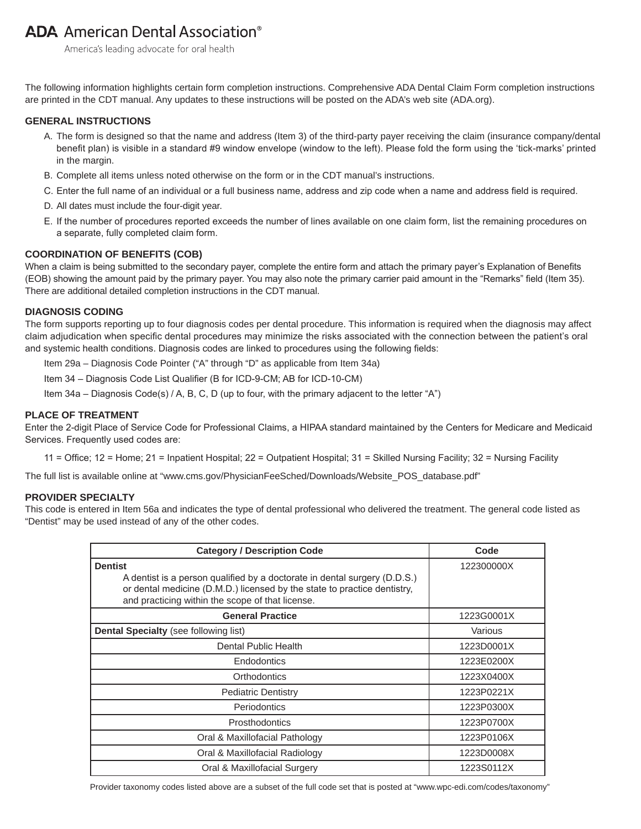# **ADA** American Dental Association<sup>®</sup>

America's leading advocate for oral health

The following information highlights certain form completion instructions. Comprehensive ADA Dental Claim Form completion instructions are printed in the CDT manual. Any updates to these instructions will be posted on the ADA's web site (ADA.org).

# **GENERAL INSTRUCTIONS**

- A. The form is designed so that the name and address (Item 3) of the third-party payer receiving the claim (insurance company/dental benefit plan) is visible in a standard #9 window envelope (window to the left). Please fold the form using the 'tick-marks' printed in the margin.
- B. Complete all items unless noted otherwise on the form or in the CDT manual's instructions.
- C. Enter the full name of an individual or a full business name, address and zip code when a name and address field is required.
- D. All dates must include the four-digit year.
- E. If the number of procedures reported exceeds the number of lines available on one claim form, list the remaining procedures on a separate, fully completed claim form.

# **COORDINATION OF BENEFITS (COB)**

When a claim is being submitted to the secondary payer, complete the entire form and attach the primary payer's Explanation of Benefits (EOB) showing the amount paid by the primary payer. You may also note the primary carrier paid amount in the "Remarks" field (Item 35). There are additional detailed completion instructions in the CDT manual.

#### **DIAGNOSIS CODING**

The form supports reporting up to four diagnosis codes per dental procedure. This information is required when the diagnosis may affect claim adjudication when specific dental procedures may minimize the risks associated with the connection between the patient's oral and systemic health conditions. Diagnosis codes are linked to procedures using the following fields:

Item 29a – Diagnosis Code Pointer ("A" through "D" as applicable from Item 34a)

Item 34 - Diagnosis Code List Qualifier (B for ICD-9-CM; AB for ICD-10-CM)

Item 34a – Diagnosis Code(s) / A, B, C, D (up to four, with the primary adjacent to the letter "A")

### **PLACE OF TREATMENT**

Enter the 2-digit Place of Service Code for Professional Claims, a HIPAA standard maintained by the Centers for Medicare and Medicaid Services. Frequently used codes are:

11 = Office; 12 = Home; 21 = Inpatient Hospital; 22 = Outpatient Hospital; 31 = Skilled Nursing Facility; 32 = Nursing Facility

The full list is available online at "www.cms.gov/PhysicianFeeSched/Downloads/Website\_POS\_database.pdf"

### **PROVIDER SPECIALTY**

This code is entered in Item 56a and indicates the type of dental professional who delivered the treatment. The general code listed as "Dentist" may be used instead of any of the other codes.

| <b>Category / Description Code</b>                                                                                                                                                                                          | Code       |  |  |
|-----------------------------------------------------------------------------------------------------------------------------------------------------------------------------------------------------------------------------|------------|--|--|
| <b>Dentist</b><br>A dentist is a person qualified by a doctorate in dental surgery (D.D.S.)<br>or dental medicine (D.M.D.) licensed by the state to practice dentistry,<br>and practicing within the scope of that license. | 122300000X |  |  |
| <b>General Practice</b>                                                                                                                                                                                                     | 1223G0001X |  |  |
| <b>Dental Specialty (see following list)</b>                                                                                                                                                                                | Various    |  |  |
| Dental Public Health                                                                                                                                                                                                        | 1223D0001X |  |  |
| Endodontics                                                                                                                                                                                                                 | 1223E0200X |  |  |
| Orthodontics                                                                                                                                                                                                                | 1223X0400X |  |  |
| <b>Pediatric Dentistry</b>                                                                                                                                                                                                  | 1223P0221X |  |  |
| Periodontics                                                                                                                                                                                                                | 1223P0300X |  |  |
| Prosthodontics                                                                                                                                                                                                              | 1223P0700X |  |  |
| Oral & Maxillofacial Pathology                                                                                                                                                                                              | 1223P0106X |  |  |
| Oral & Maxillofacial Radiology                                                                                                                                                                                              | 1223D0008X |  |  |
| Oral & Maxillofacial Surgery                                                                                                                                                                                                | 1223S0112X |  |  |

Provider taxonomy codes listed above are a subset of the full code set that is posted at "www.wpc-edi.com/codes/taxonomy"